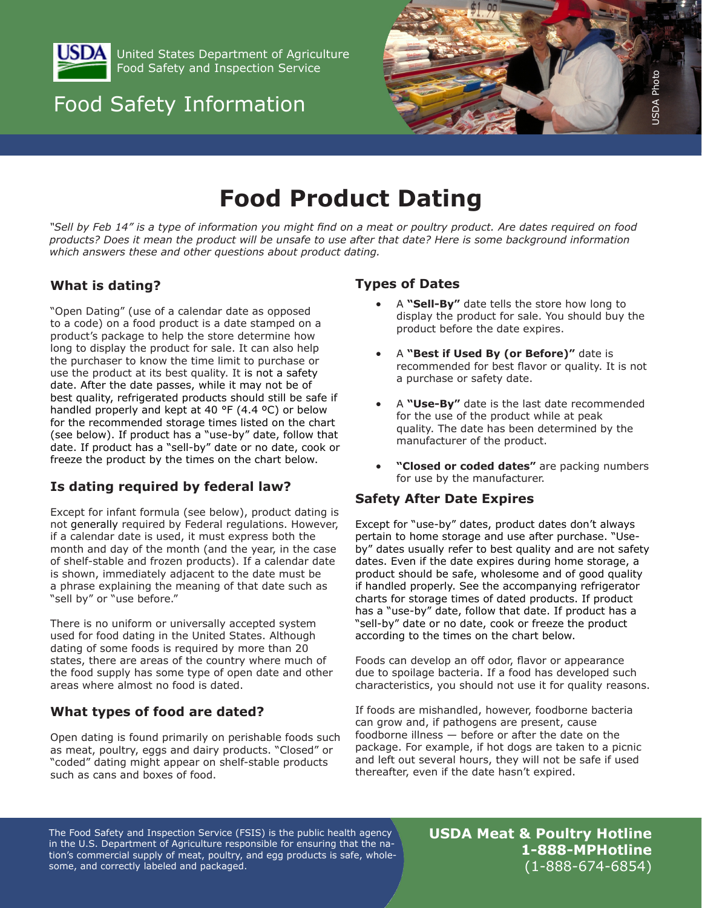

United States Department of Agriculture Food Safety and Inspection Service

## Food Safety Information



# **Food Product Dating**

*"Sell by Feb 14" is a type of information you might find on a meat or poultry product. Are dates required on food products? Does it mean the product will be unsafe to use after that date? Here is some background information which answers these and other questions about product dating.*

#### **What is dating?**

"Open Dating" (use of a calendar date as opposed to a code) on a food product is a date stamped on a product's package to help the store determine how long to display the product for sale. It can also help the purchaser to know the time limit to purchase or use the product at its best quality. It is not a safety date. After the date passes, while it may not be of best quality, refrigerated products should still be safe if handled properly and kept at 40 °F (4.4 ºC) or below for the recommended storage times listed on the chart (see below). If product has a "use-by" date, follow that date. If product has a "sell-by" date or no date, cook or freeze the product by the times on the chart below.

#### **Is dating required by federal law?**

Except for infant formula (see below), product dating is not generally required by Federal regulations. However, if a calendar date is used, it must express both the month and day of the month (and the year, in the case of shelf-stable and frozen products). If a calendar date is shown, immediately adjacent to the date must be a phrase explaining the meaning of that date such as "sell by" or "use before."

There is no uniform or universally accepted system used for food dating in the United States. Although dating of some foods is required by more than 20 states, there are areas of the country where much of the food supply has some type of open date and other areas where almost no food is dated.

#### **What types of food are dated?**

Open dating is found primarily on perishable foods such as meat, poultry, eggs and dairy products. "Closed" or "coded" dating might appear on shelf-stable products such as cans and boxes of food.

#### **Types of Dates**

- A **"Sell-By"** date tells the store how long to display the product for sale. You should buy the product before the date expires.
- A **"Best if Used By (or Before)"** date is recommended for best flavor or quality. It is not a purchase or safety date.
- A **"Use-By"** date is the last date recommended for the use of the product while at peak quality. The date has been determined by the manufacturer of the product.
- **"Closed or coded dates"** are packing numbers for use by the manufacturer.

#### **Safety After Date Expires**

Except for "use-by" dates, product dates don't always pertain to home storage and use after purchase. "Useby" dates usually refer to best quality and are not safety dates. Even if the date expires during home storage, a product should be safe, wholesome and of good quality if handled properly. See the accompanying refrigerator charts for storage times of dated products. If product has a "use-by" date, follow that date. If product has a "sell-by" date or no date, cook or freeze the product according to the times on the chart below.

Foods can develop an off odor, flavor or appearance due to spoilage bacteria. If a food has developed such characteristics, you should not use it for quality reasons.

If foods are mishandled, however, foodborne bacteria can grow and, if pathogens are present, cause foodborne illness — before or after the date on the package. For example, if hot dogs are taken to a picnic and left out several hours, they will not be safe if used thereafter, even if the date hasn't expired.

The Food Safety and Inspection Service (FSIS) is the public health agency in the U.S. Department of Agriculture responsible for ensuring that the nation's commercial supply of meat, poultry, and egg products is safe, wholesome, and correctly labeled and packaged.

**USDA Meat & Poultry Hotline 1-888-MPHotline** (1-888-674-6854)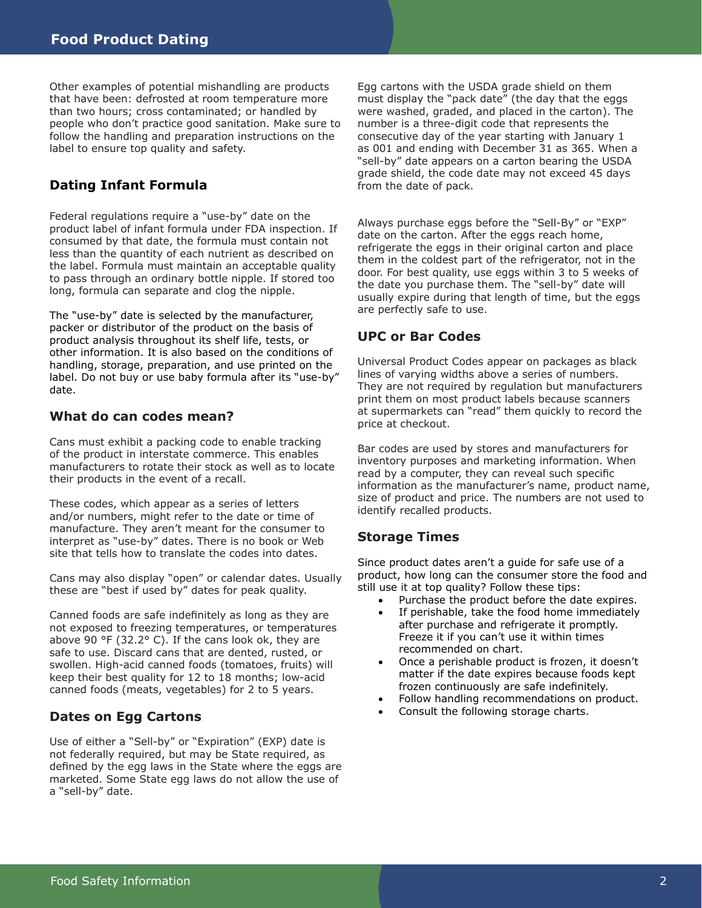Other examples of potential mishandling are products that have been: defrosted at room temperature more than two hours; cross contaminated; or handled by people who don't practice good sanitation. Make sure to follow the handling and preparation instructions on the label to ensure top quality and safety.

#### **Dating Infant Formula**

Federal regulations require a "use-by" date on the product label of infant formula under FDA inspection. If consumed by that date, the formula must contain not less than the quantity of each nutrient as described on the label. Formula must maintain an acceptable quality to pass through an ordinary bottle nipple. If stored too long, formula can separate and clog the nipple.

The "use-by" date is selected by the manufacturer, packer or distributor of the product on the basis of product analysis throughout its shelf life, tests, or other information. It is also based on the conditions of handling, storage, preparation, and use printed on the label. Do not buy or use baby formula after its "use-by" date.

#### **What do can codes mean?**

Cans must exhibit a packing code to enable tracking of the product in interstate commerce. This enables manufacturers to rotate their stock as well as to locate their products in the event of a recall.

These codes, which appear as a series of letters and/or numbers, might refer to the date or time of manufacture. They aren't meant for the consumer to interpret as "use-by" dates. There is no book or Web site that tells how to translate the codes into dates.

Cans may also display "open" or calendar dates. Usually these are "best if used by" dates for peak quality.

Canned foods are safe indefinitely as long as they are not exposed to freezing temperatures, or temperatures above 90 °F (32.2° C). If the cans look ok, they are safe to use. Discard cans that are dented, rusted, or swollen. High-acid canned foods (tomatoes, fruits) will keep their best quality for 12 to 18 months; low-acid canned foods (meats, vegetables) for 2 to 5 years.

#### **Dates on Egg Cartons**

Use of either a "Sell-by" or "Expiration" (EXP) date is not federally required, but may be State required, as defined by the egg laws in the State where the eggs are marketed. Some State egg laws do not allow the use of a "sell-by" date.

Egg cartons with the USDA grade shield on them must display the "pack date" (the day that the eggs were washed, graded, and placed in the carton). The number is a three-digit code that represents the consecutive day of the year starting with January 1 as 001 and ending with December 31 as 365. When a "sell-by" date appears on a carton bearing the USDA grade shield, the code date may not exceed 45 days from the date of pack.

Always purchase eggs before the "Sell-By" or "EXP" date on the carton. After the eggs reach home, refrigerate the eggs in their original carton and place them in the coldest part of the refrigerator, not in the door. For best quality, use eggs within 3 to 5 weeks of the date you purchase them. The "sell-by" date will usually expire during that length of time, but the eggs are perfectly safe to use.

#### **UPC or Bar Codes**

Universal Product Codes appear on packages as black lines of varying widths above a series of numbers. They are not required by regulation but manufacturers print them on most product labels because scanners at supermarkets can "read" them quickly to record the price at checkout.

Bar codes are used by stores and manufacturers for inventory purposes and marketing information. When read by a computer, they can reveal such specific information as the manufacturer's name, product name, size of product and price. The numbers are not used to identify recalled products.

#### **Storage Times**

Since product dates aren't a guide for safe use of a product, how long can the consumer store the food and still use it at top quality? Follow these tips:

- Purchase the product before the date expires.
- If perishable, take the food home immediately after purchase and refrigerate it promptly. Freeze it if you can't use it within times recommended on chart.
- Once a perishable product is frozen, it doesn't matter if the date expires because foods kept frozen continuously are safe indefinitely.
- Follow handling recommendations on product.
- Consult the following storage charts.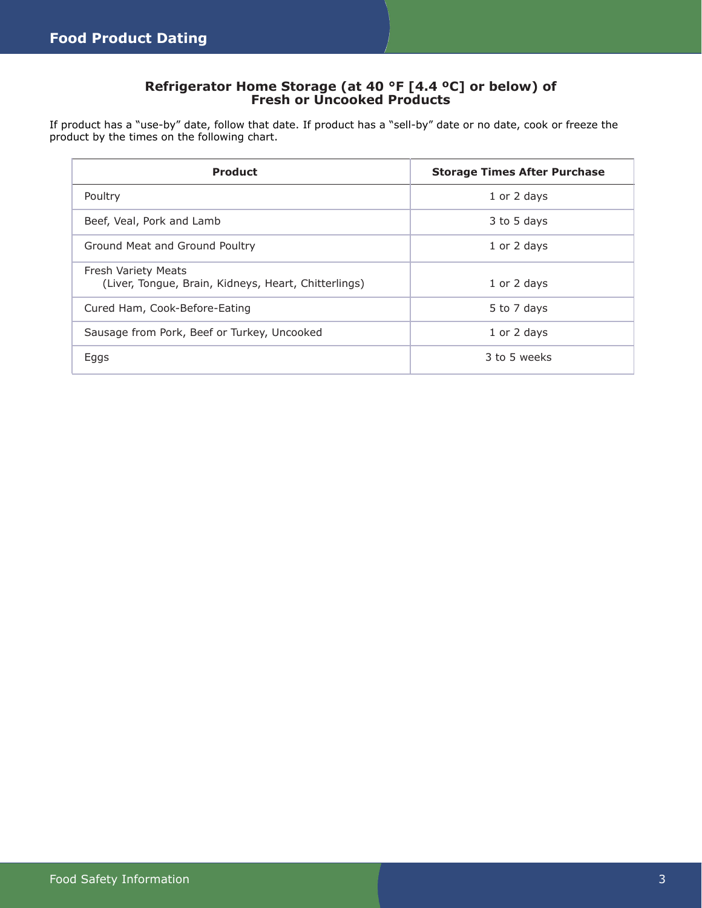#### **Refrigerator Home Storage (at 40 °F [4.4 ºC] or below) of Fresh or Uncooked Products**

If product has a "use-by" date, follow that date. If product has a "sell-by" date or no date, cook or freeze the product by the times on the following chart.

| <b>Product</b>                                                              | <b>Storage Times After Purchase</b> |  |
|-----------------------------------------------------------------------------|-------------------------------------|--|
| Poultry                                                                     | 1 or 2 days                         |  |
| Beef, Veal, Pork and Lamb                                                   | 3 to 5 days                         |  |
| Ground Meat and Ground Poultry                                              | 1 or 2 days                         |  |
| Fresh Variety Meats<br>(Liver, Tongue, Brain, Kidneys, Heart, Chitterlings) | 1 or 2 days                         |  |
| Cured Ham, Cook-Before-Eating                                               | 5 to 7 days                         |  |
| Sausage from Pork, Beef or Turkey, Uncooked                                 | 1 or 2 days                         |  |
| Eggs                                                                        | 3 to 5 weeks                        |  |